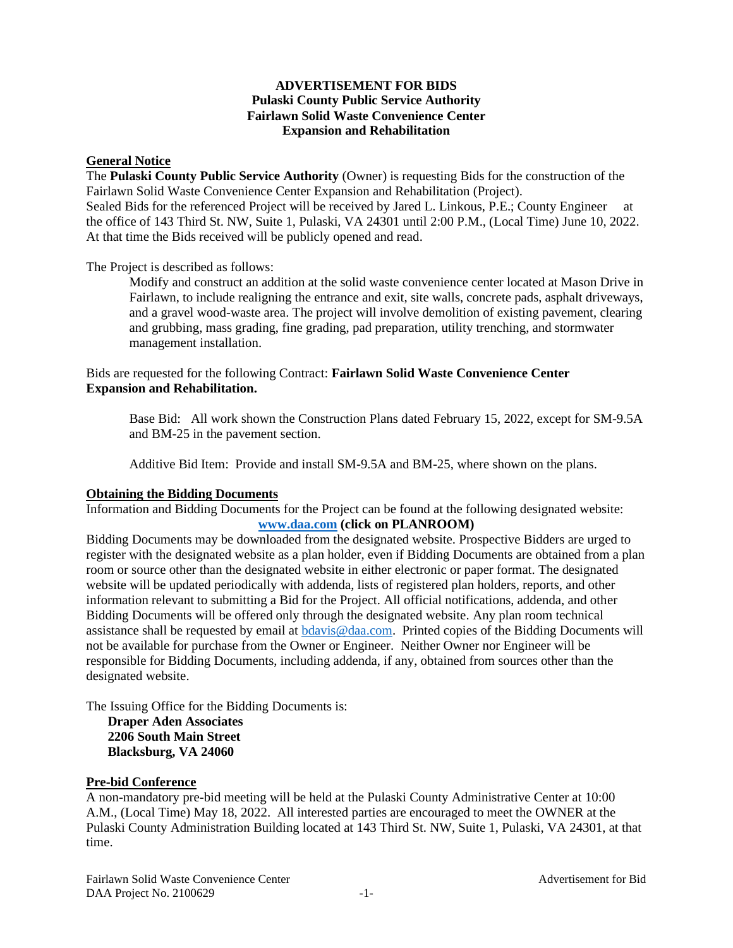## **ADVERTISEMENT FOR BIDS Pulaski County Public Service Authority Fairlawn Solid Waste Convenience Center Expansion and Rehabilitation**

## **General Notice**

The **Pulaski County Public Service Authority** (Owner) is requesting Bids for the construction of the Fairlawn Solid Waste Convenience Center Expansion and Rehabilitation (Project). Sealed Bids for the referenced Project will be received by Jared L. Linkous, P.E.; County Engineer at the office of 143 Third St. NW, Suite 1, Pulaski, VA 24301 until 2:00 P.M., (Local Time) June 10, 2022. At that time the Bids received will be publicly opened and read.

The Project is described as follows:

Modify and construct an addition at the solid waste convenience center located at Mason Drive in Fairlawn, to include realigning the entrance and exit, site walls, concrete pads, asphalt driveways, and a gravel wood-waste area. The project will involve demolition of existing pavement, clearing and grubbing, mass grading, fine grading, pad preparation, utility trenching, and stormwater management installation.

## Bids are requested for the following Contract: **Fairlawn Solid Waste Convenience Center Expansion and Rehabilitation.**

Base Bid: All work shown the Construction Plans dated February 15, 2022, except for SM-9.5A and BM-25 in the pavement section.

Additive Bid Item: Provide and install SM-9.5A and BM-25, where shown on the plans.

### **Obtaining the Bidding Documents**

Information and Bidding Documents for the Project can be found at the following designated website: **[www.daa.com](http://www.daa.com/) (click on PLANROOM)**

Bidding Documents may be downloaded from the designated website. Prospective Bidders are urged to register with the designated website as a plan holder, even if Bidding Documents are obtained from a plan room or source other than the designated website in either electronic or paper format. The designated website will be updated periodically with addenda, lists of registered plan holders, reports, and other information relevant to submitting a Bid for the Project. All official notifications, addenda, and other Bidding Documents will be offered only through the designated website. Any plan room technical assistance shall be requested by email at [bdavis@daa.com.](mailto:bdavis@daa.com) Printed copies of the Bidding Documents will not be available for purchase from the Owner or Engineer. Neither Owner nor Engineer will be responsible for Bidding Documents, including addenda, if any, obtained from sources other than the designated website.

The Issuing Office for the Bidding Documents is: **Draper Aden Associates 2206 South Main Street Blacksburg, VA 24060**

#### **Pre-bid Conference**

A non-mandatory pre-bid meeting will be held at the Pulaski County Administrative Center at 10:00 A.M., (Local Time) May 18, 2022. All interested parties are encouraged to meet the OWNER at the Pulaski County Administration Building located at 143 Third St. NW, Suite 1, Pulaski, VA 24301, at that time.